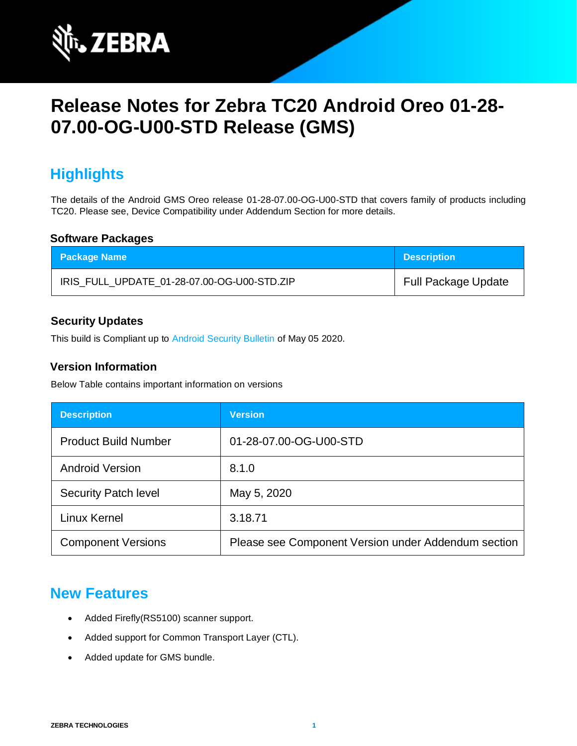

# **Release Notes for Zebra TC20 Android Oreo 01-28- 07.00-OG-U00-STD Release (GMS)**

# **Highlights**

The details of the Android GMS Oreo release 01-28-07.00-OG-U00-STD that covers family of products including TC20. Please see, Device Compatibility under Addendum Section for more details.

### **Software Packages**

| <b>Package Name</b>                         | <b>Description</b>         |
|---------------------------------------------|----------------------------|
| IRIS FULL UPDATE 01-28-07.00-OG-U00-STD.ZIP | <b>Full Package Update</b> |

### **Security Updates**

This build is Compliant up to [Android Security Bulletin](https://source.android.com/security/bulletin/) of May 05 2020.

### **Version Information**

Below Table contains important information on versions

| <b>Description</b>          | <b>Version</b>                                      |
|-----------------------------|-----------------------------------------------------|
| <b>Product Build Number</b> | 01-28-07.00-OG-U00-STD                              |
| <b>Android Version</b>      | 8.1.0                                               |
| <b>Security Patch level</b> | May 5, 2020                                         |
| Linux Kernel                | 3.18.71                                             |
| <b>Component Versions</b>   | Please see Component Version under Addendum section |

### **New Features**

- Added Firefly(RS5100) scanner support.
- Added support for Common Transport Layer (CTL).
- Added update for GMS bundle.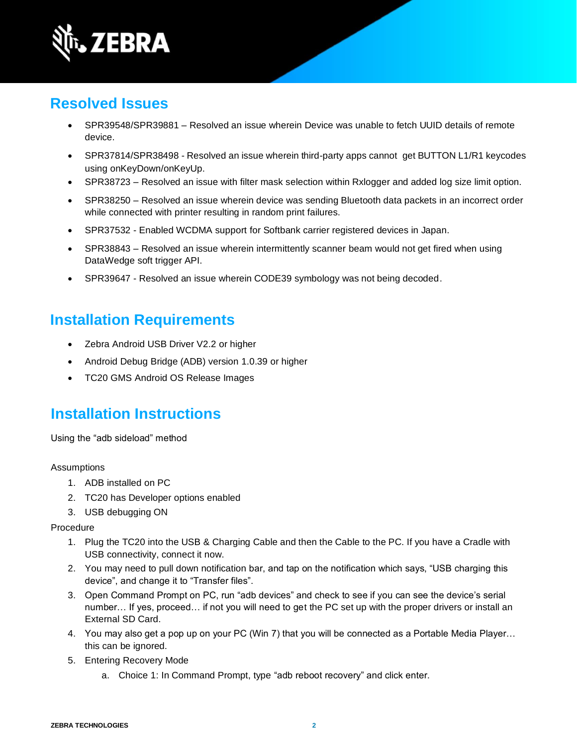

# **Resolved Issues**

- SPR39548/SPR39881 Resolved an issue wherein Device was unable to fetch UUID details of remote device.
- SPR37814/SPR38498 Resolved an issue wherein third-party apps cannot get BUTTON L1/R1 keycodes using onKeyDown/onKeyUp.
- SPR38723 Resolved an issue with filter mask selection within Rxlogger and added log size limit option.
- SPR38250 Resolved an issue wherein device was sending Bluetooth data packets in an incorrect order while connected with printer resulting in random print failures.
- SPR37532 Enabled WCDMA support for Softbank carrier registered devices in Japan.
- SPR38843 Resolved an issue wherein intermittently scanner beam would not get fired when using DataWedge soft trigger API.
- SPR39647 Resolved an issue wherein CODE39 symbology was not being decoded.

# **Installation Requirements**

- Zebra Android USB Driver V2.2 or higher
- Android Debug Bridge (ADB) version 1.0.39 or higher
- TC20 GMS Android OS Release Images

### **Installation Instructions**

Using the "adb sideload" method

#### Assumptions

- 1. ADB installed on PC
- 2. TC20 has Developer options enabled
- 3. USB debugging ON

#### Procedure

- 1. Plug the TC20 into the USB & Charging Cable and then the Cable to the PC. If you have a Cradle with USB connectivity, connect it now.
- 2. You may need to pull down notification bar, and tap on the notification which says, "USB charging this device", and change it to "Transfer files".
- 3. Open Command Prompt on PC, run "adb devices" and check to see if you can see the device's serial number… If yes, proceed… if not you will need to get the PC set up with the proper drivers or install an External SD Card.
- 4. You may also get a pop up on your PC (Win 7) that you will be connected as a Portable Media Player… this can be ignored.
- 5. Entering Recovery Mode
	- a. Choice 1: In Command Prompt, type "adb reboot recovery" and click enter.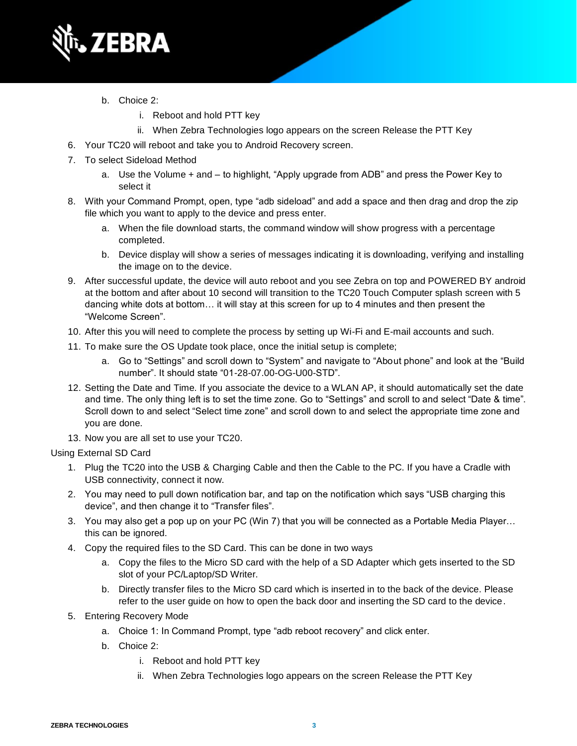

- b. Choice 2:
	- i. Reboot and hold PTT key
	- ii. When Zebra Technologies logo appears on the screen Release the PTT Key
- 6. Your TC20 will reboot and take you to Android Recovery screen.
- 7. To select Sideload Method
	- a. Use the Volume + and to highlight, "Apply upgrade from ADB" and press the Power Key to select it
- 8. With your Command Prompt, open, type "adb sideload" and add a space and then drag and drop the zip file which you want to apply to the device and press enter.
	- a. When the file download starts, the command window will show progress with a percentage completed.
	- b. Device display will show a series of messages indicating it is downloading, verifying and installing the image on to the device.
- 9. After successful update, the device will auto reboot and you see Zebra on top and POWERED BY android at the bottom and after about 10 second will transition to the TC20 Touch Computer splash screen with 5 dancing white dots at bottom… it will stay at this screen for up to 4 minutes and then present the "Welcome Screen".
- 10. After this you will need to complete the process by setting up Wi-Fi and E-mail accounts and such.
- 11. To make sure the OS Update took place, once the initial setup is complete;
	- a. Go to "Settings" and scroll down to "System" and navigate to "About phone" and look at the "Build number". It should state "01-28-07.00-OG-U00-STD".
- 12. Setting the Date and Time. If you associate the device to a WLAN AP, it should automatically set the date and time. The only thing left is to set the time zone. Go to "Settings" and scroll to and select "Date & time". Scroll down to and select "Select time zone" and scroll down to and select the appropriate time zone and you are done.
- 13. Now you are all set to use your TC20.

### Using External SD Card

- 1. Plug the TC20 into the USB & Charging Cable and then the Cable to the PC. If you have a Cradle with USB connectivity, connect it now.
- 2. You may need to pull down notification bar, and tap on the notification which says "USB charging this device", and then change it to "Transfer files".
- 3. You may also get a pop up on your PC (Win 7) that you will be connected as a Portable Media Player… this can be ignored.
- 4. Copy the required files to the SD Card. This can be done in two ways
	- a. Copy the files to the Micro SD card with the help of a SD Adapter which gets inserted to the SD slot of your PC/Laptop/SD Writer.
	- b. Directly transfer files to the Micro SD card which is inserted in to the back of the device. Please refer to the user guide on how to open the back door and inserting the SD card to the device.
- 5. Entering Recovery Mode
	- a. Choice 1: In Command Prompt, type "adb reboot recovery" and click enter.
	- b. Choice 2:
		- i. Reboot and hold PTT key
		- ii. When Zebra Technologies logo appears on the screen Release the PTT Key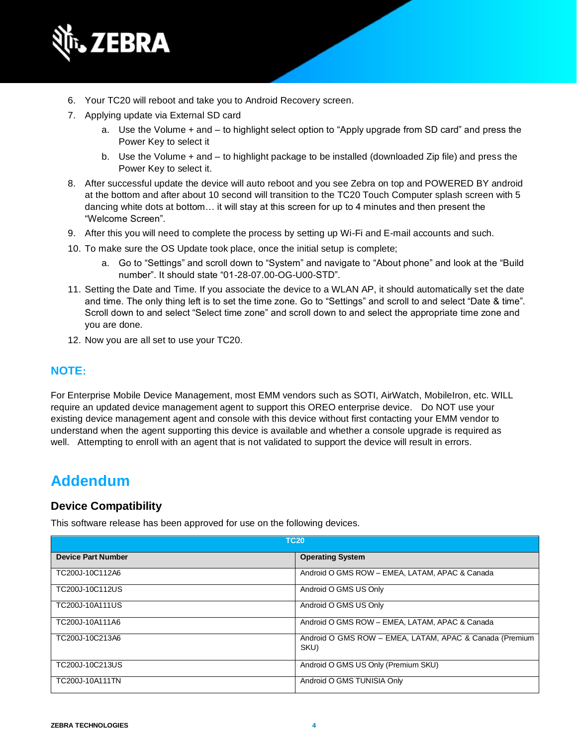

- 6. Your TC20 will reboot and take you to Android Recovery screen.
- 7. Applying update via External SD card
	- a. Use the Volume + and to highlight select option to "Apply upgrade from SD card" and press the Power Key to select it
	- b. Use the Volume + and to highlight package to be installed (downloaded Zip file) and press the Power Key to select it.
- 8. After successful update the device will auto reboot and you see Zebra on top and POWERED BY android at the bottom and after about 10 second will transition to the TC20 Touch Computer splash screen with 5 dancing white dots at bottom… it will stay at this screen for up to 4 minutes and then present the "Welcome Screen".
- 9. After this you will need to complete the process by setting up Wi-Fi and E-mail accounts and such.
- 10. To make sure the OS Update took place, once the initial setup is complete;
	- a. Go to "Settings" and scroll down to "System" and navigate to "About phone" and look at the "Build number". It should state "01-28-07.00-OG-U00-STD".
- 11. Setting the Date and Time. If you associate the device to a WLAN AP, it should automatically set the date and time. The only thing left is to set the time zone. Go to "Settings" and scroll to and select "Date & time". Scroll down to and select "Select time zone" and scroll down to and select the appropriate time zone and you are done.
- 12. Now you are all set to use your TC20.

#### **NOTE:**

For Enterprise Mobile Device Management, most EMM vendors such as SOTI, AirWatch, MobileIron, etc. WILL require an updated device management agent to support this OREO enterprise device. Do NOT use your existing device management agent and console with this device without first contacting your EMM vendor to understand when the agent supporting this device is available and whether a console upgrade is required as well. Attempting to enroll with an agent that is not validated to support the device will result in errors.

### **Addendum**

### **Device Compatibility**

This software release has been approved for use on the following devices.

| <b>TC20</b>               |                                                                 |
|---------------------------|-----------------------------------------------------------------|
| <b>Device Part Number</b> | <b>Operating System</b>                                         |
| TC200J-10C112A6           | Android O GMS ROW - EMEA, LATAM, APAC & Canada                  |
| TC200J-10C112US           | Android O GMS US Only                                           |
| TC200J-10A111US           | Android O GMS US Only                                           |
| TC200J-10A111A6           | Android O GMS ROW - EMEA, LATAM, APAC & Canada                  |
| TC200J-10C213A6           | Android O GMS ROW - EMEA, LATAM, APAC & Canada (Premium<br>SKU) |
| TC200J-10C213US           | Android O GMS US Only (Premium SKU)                             |
| TC200J-10A111TN           | Android O GMS TUNISIA Only                                      |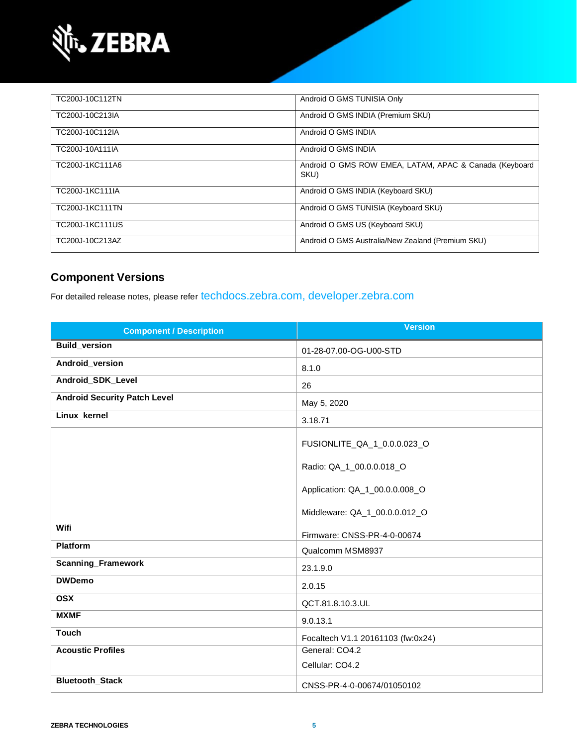

| TC200J-10C112TN | Android O GMS TUNISIA Only                                     |
|-----------------|----------------------------------------------------------------|
| TC200J-10C213IA | Android O GMS INDIA (Premium SKU)                              |
| TC200J-10C112IA | Android O GMS INDIA                                            |
| TC200J-10A111IA | Android O GMS INDIA                                            |
| TC200J-1KC111A6 | Android O GMS ROW EMEA, LATAM, APAC & Canada (Keyboard<br>SKU) |
| TC200J-1KC111IA | Android O GMS INDIA (Keyboard SKU)                             |
| TC200J-1KC111TN | Android O GMS TUNISIA (Keyboard SKU)                           |
| TC200J-1KC111US | Android O GMS US (Keyboard SKU)                                |
| TC200J-10C213AZ | Android O GMS Australia/New Zealand (Premium SKU)              |

### **Component Versions**

For detailed release notes, please refer [techdocs.zebra.com,](https://techdocs.zebra.com/) [developer.zebra.com](https://developer.zebra.com/)

| <b>Component / Description</b>      | <b>Version</b>                                                  |
|-------------------------------------|-----------------------------------------------------------------|
| <b>Build_version</b>                | 01-28-07.00-OG-U00-STD                                          |
| Android_version                     | 8.1.0                                                           |
| Android_SDK_Level                   | 26                                                              |
| <b>Android Security Patch Level</b> | May 5, 2020                                                     |
| Linux_kernel                        | 3.18.71                                                         |
|                                     | FUSIONLITE_QA_1_0.0.0.023_O<br>Radio: QA_1_00.0.0.018_O         |
|                                     | Application: QA_1_00.0.0.008_O<br>Middleware: QA_1_00.0.0.012_O |
| Wifi                                | Firmware: CNSS-PR-4-0-00674                                     |
| <b>Platform</b>                     | Qualcomm MSM8937                                                |
| <b>Scanning_Framework</b>           | 23.1.9.0                                                        |
| <b>DWDemo</b>                       | 2.0.15                                                          |
| <b>OSX</b>                          | QCT.81.8.10.3.UL                                                |
| <b>MXMF</b>                         | 9.0.13.1                                                        |
| <b>Touch</b>                        | Focaltech V1.1 20161103 (fw:0x24)                               |
| <b>Acoustic Profiles</b>            | General: CO4.2<br>Cellular: CO4.2                               |
| <b>Bluetooth_Stack</b>              | CNSS-PR-4-0-00674/01050102                                      |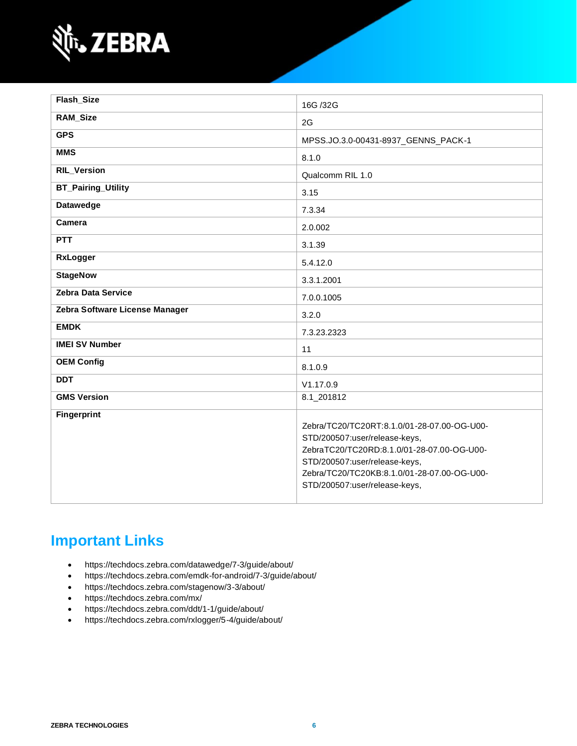

| Flash_Size                     | 16G /32G                                                                                                                                                                                                                                    |
|--------------------------------|---------------------------------------------------------------------------------------------------------------------------------------------------------------------------------------------------------------------------------------------|
| <b>RAM_Size</b>                | 2G                                                                                                                                                                                                                                          |
| <b>GPS</b>                     | MPSS.JO.3.0-00431-8937_GENNS_PACK-1                                                                                                                                                                                                         |
| <b>MMS</b>                     | 8.1.0                                                                                                                                                                                                                                       |
| <b>RIL_Version</b>             | Qualcomm RIL 1.0                                                                                                                                                                                                                            |
| <b>BT_Pairing_Utility</b>      | 3.15                                                                                                                                                                                                                                        |
| <b>Datawedge</b>               | 7.3.34                                                                                                                                                                                                                                      |
| Camera                         | 2.0.002                                                                                                                                                                                                                                     |
| <b>PTT</b>                     | 3.1.39                                                                                                                                                                                                                                      |
| RxLogger                       | 5.4.12.0                                                                                                                                                                                                                                    |
| <b>StageNow</b>                | 3.3.1.2001                                                                                                                                                                                                                                  |
| <b>Zebra Data Service</b>      | 7.0.0.1005                                                                                                                                                                                                                                  |
| Zebra Software License Manager | 3.2.0                                                                                                                                                                                                                                       |
| <b>EMDK</b>                    | 7.3.23.2323                                                                                                                                                                                                                                 |
| <b>IMEI SV Number</b>          | 11                                                                                                                                                                                                                                          |
| <b>OEM Config</b>              | 8.1.0.9                                                                                                                                                                                                                                     |
| <b>DDT</b>                     | V1.17.0.9                                                                                                                                                                                                                                   |
| <b>GMS Version</b>             | 8.1_201812                                                                                                                                                                                                                                  |
| <b>Fingerprint</b>             | Zebra/TC20/TC20RT:8.1.0/01-28-07.00-OG-U00-<br>STD/200507:user/release-keys,<br>ZebraTC20/TC20RD:8.1.0/01-28-07.00-OG-U00-<br>STD/200507:user/release-keys,<br>Zebra/TC20/TC20KB:8.1.0/01-28-07.00-OG-U00-<br>STD/200507:user/release-keys, |

# **Important Links**

- <https://techdocs.zebra.com/datawedge/7-3/guide/about/>
- <https://techdocs.zebra.com/emdk-for-android/7-3/guide/about/>
- <https://techdocs.zebra.com/stagenow/3-3/about/>
- <https://techdocs.zebra.com/mx/>
- <https://techdocs.zebra.com/ddt/1-1/guide/about/>
- <https://techdocs.zebra.com/rxlogger/5-4/guide/about/>